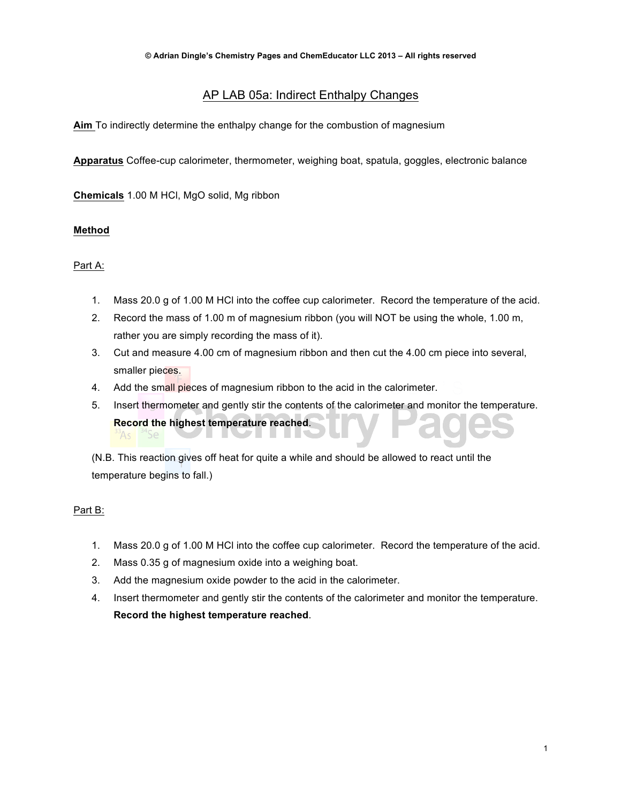# AP LAB 05a: Indirect Enthalpy Changes

**Aim** To indirectly determine the enthalpy change for the combustion of magnesium

**Apparatus** Coffee-cup calorimeter, thermometer, weighing boat, spatula, goggles, electronic balance

**Chemicals** 1.00 M HCl, MgO solid, Mg ribbon

### **Method**

### Part A:

- 1. Mass 20.0 g of 1.00 M HCl into the coffee cup calorimeter. Record the temperature of the acid.
- 2. Record the mass of 1.00 m of magnesium ribbon (you will NOT be using the whole, 1.00 m, rather you are simply recording the mass of it).
- 3. Cut and measure 4.00 cm of magnesium ribbon and then cut the 4.00 cm piece into several, smaller pieces.
- 4. Add the small pieces of magnesium ribbon to the acid in the calorimeter.
- 5. Insert thermometer and gently stir the contents of the calorimeter and monitor the temperature. **Record the highest temperature reached**.

(N.B. This reaction gives off heat for quite a while and should be allowed to react until the temperature begins to fall.)

### Part B:

- 1. Mass 20.0 g of 1.00 M HCl into the coffee cup calorimeter. Record the temperature of the acid.
- 2. Mass 0.35 g of magnesium oxide into a weighing boat.
- 3. Add the magnesium oxide powder to the acid in the calorimeter.
- 4. Insert thermometer and gently stir the contents of the calorimeter and monitor the temperature. **Record the highest temperature reached**.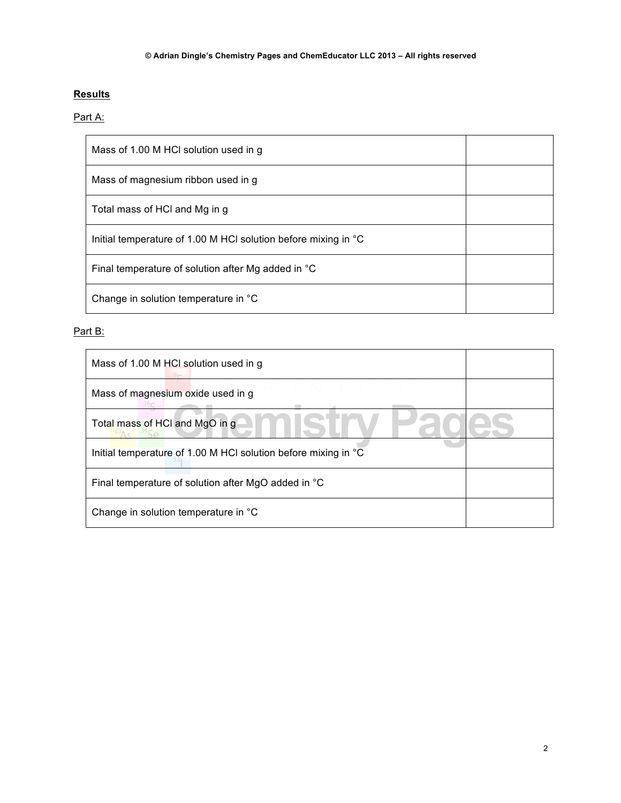## **Results**

## Part A:

| Mass of 1.00 M HCI solution used in g                          |  |
|----------------------------------------------------------------|--|
| Mass of magnesium ribbon used in g                             |  |
| Total mass of HCI and Mg in g                                  |  |
| Initial temperature of 1.00 M HCI solution before mixing in °C |  |
| Final temperature of solution after Mg added in °C             |  |
| Change in solution temperature in °C                           |  |

# Part B:

| Mass of 1.00 M HCI solution used in g                          |  |
|----------------------------------------------------------------|--|
| Mass of magnesium oxide used in g                              |  |
| Total mass of HCI and MgO in g                                 |  |
| Initial temperature of 1.00 M HCI solution before mixing in °C |  |
| Final temperature of solution after MgO added in °C            |  |
| Change in solution temperature in °C                           |  |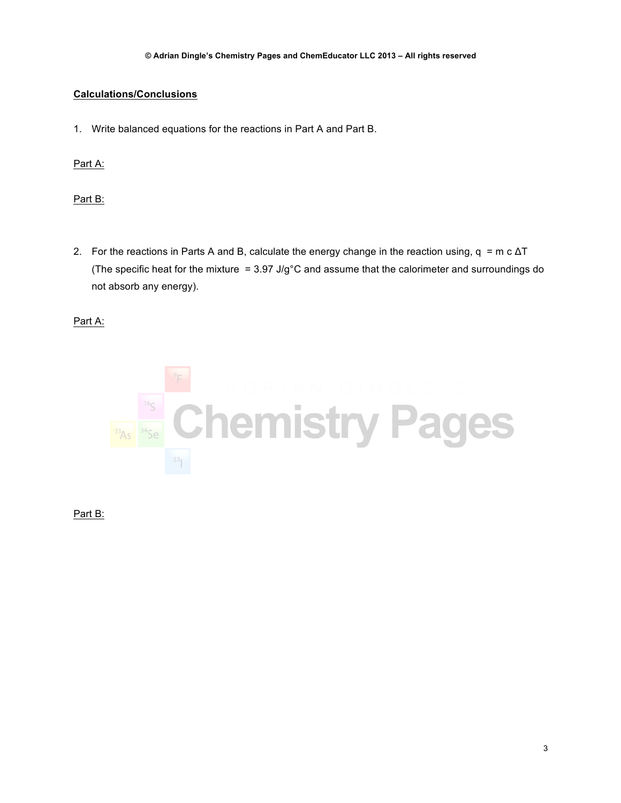## **Calculations/Conclusions**

1. Write balanced equations for the reactions in Part A and Part B.

Part A:

Part B:

2. For the reactions in Parts A and B, calculate the energy change in the reaction using,  $q = m c \Delta T$ (The specific heat for the mixture =  $3.97 \text{ J/g}^{\circ}\text{C}$  and assume that the calorimeter and surroundings do not absorb any energy).

Part A:



Part B: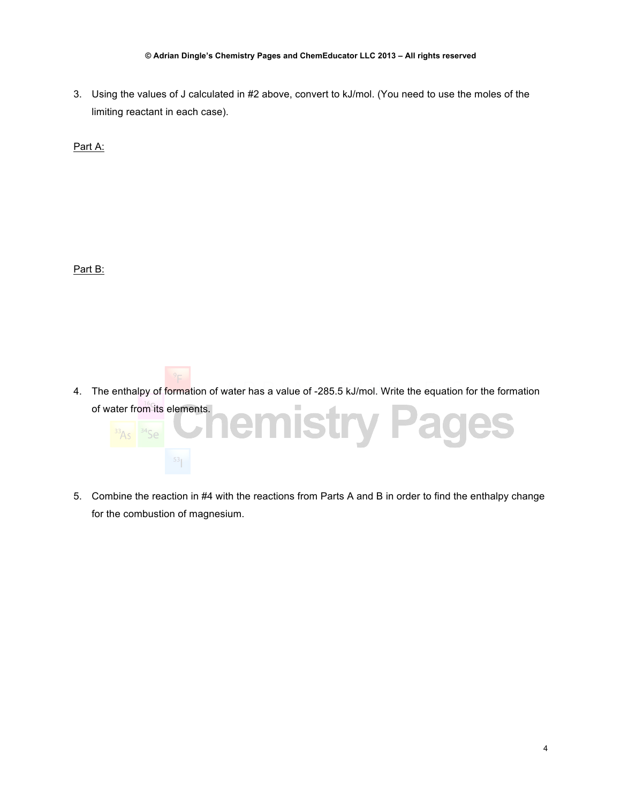#### **© Adrian Dingle's Chemistry Pages and ChemEducator LLC 2013 – All rights reserved**

3. Using the values of J calculated in #2 above, convert to kJ/mol. (You need to use the moles of the limiting reactant in each case).

Part A:

Part B:

4. The enthalpy of formation of water has a value of -285.5 kJ/mol. Write the equation for the formation of water from its elements.



5. Combine the reaction in #4 with the reactions from Parts A and B in order to find the enthalpy change for the combustion of magnesium.